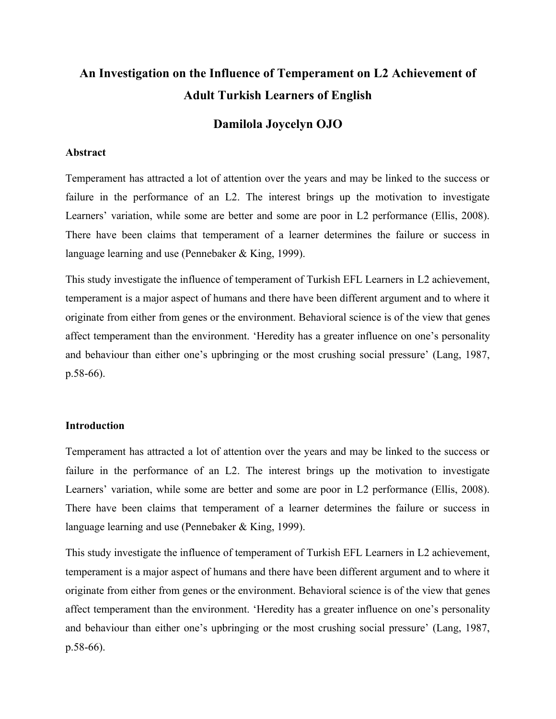# **An Investigation on the Influence of Temperament on L2 Achievement of Adult Turkish Learners of English**

# **Damilola Joycelyn OJO**

### **Abstract**

Temperament has attracted a lot of attention over the years and may be linked to the success or failure in the performance of an L2. The interest brings up the motivation to investigate Learners' variation, while some are better and some are poor in L2 performance (Ellis, 2008). There have been claims that temperament of a learner determines the failure or success in language learning and use (Pennebaker & King, 1999).

This study investigate the influence of temperament of Turkish EFL Learners in L2 achievement, temperament is a major aspect of humans and there have been different argument and to where it originate from either from genes or the environment. Behavioral science is of the view that genes affect temperament than the environment. 'Heredity has a greater influence on one's personality and behaviour than either one's upbringing or the most crushing social pressure' (Lang, 1987, p.58-66).

### **Introduction**

Temperament has attracted a lot of attention over the years and may be linked to the success or failure in the performance of an L2. The interest brings up the motivation to investigate Learners' variation, while some are better and some are poor in L2 performance (Ellis, 2008). There have been claims that temperament of a learner determines the failure or success in language learning and use (Pennebaker & King, 1999).

This study investigate the influence of temperament of Turkish EFL Learners in L2 achievement, temperament is a major aspect of humans and there have been different argument and to where it originate from either from genes or the environment. Behavioral science is of the view that genes affect temperament than the environment. 'Heredity has a greater influence on one's personality and behaviour than either one's upbringing or the most crushing social pressure' (Lang, 1987, p.58-66).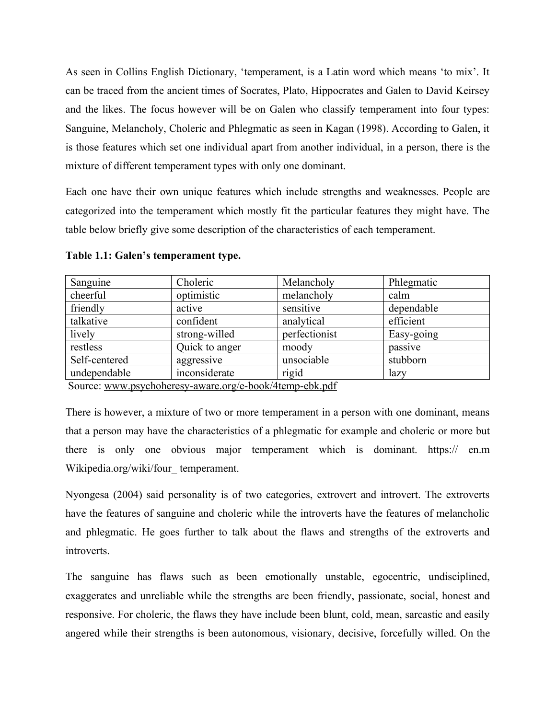As seen in Collins English Dictionary, 'temperament, is a Latin word which means 'to mix'. It can be traced from the ancient times of Socrates, Plato, Hippocrates and Galen to David Keirsey and the likes. The focus however will be on Galen who classify temperament into four types: Sanguine, Melancholy, Choleric and Phlegmatic as seen in Kagan (1998). According to Galen, it is those features which set one individual apart from another individual, in a person, there is the mixture of different temperament types with only one dominant.

Each one have their own unique features which include strengths and weaknesses. People are categorized into the temperament which mostly fit the particular features they might have. The table below briefly give some description of the characteristics of each temperament.

| Sanguine      | Choleric       | Melancholy                    | Phlegmatic |
|---------------|----------------|-------------------------------|------------|
| cheerful      | optimistic     | melancholy                    | calm       |
| friendly      | active         | sensitive                     | dependable |
| talkative     | confident      | analytical                    | efficient  |
| lively        | strong-willed  | perfectionist                 | Easy-going |
| restless      | Quick to anger | moody                         | passive    |
| Self-centered | aggressive     | unsociable                    | stubborn   |
| undependable  | inconsiderate  | rigid                         | lazy       |
| $\sim$        |                | $\blacksquare$<br>$\sim$<br>. |            |

**Table 1.1: Galen's temperament type.**

Source: [www.psychoheresy-aware.org/e-book/4temp-ebk.pdf](http://www.psychoheresy-aware.org/e-book/4temp-ebk.pdf)

There is however, a mixture of two or more temperament in a person with one dominant, means that a person may have the characteristics of a phlegmatic for example and choleric or more but there is only one obvious major temperament which is dominant. https:// en.m Wikipedia.org/wiki/four\_ temperament.

Nyongesa (2004) said personality is of two categories, extrovert and introvert. The extroverts have the features of sanguine and choleric while the introverts have the features of melancholic and phlegmatic. He goes further to talk about the flaws and strengths of the extroverts and introverts.

The sanguine has flaws such as been emotionally unstable, egocentric, undisciplined, exaggerates and unreliable while the strengths are been friendly, passionate, social, honest and responsive. For choleric, the flaws they have include been blunt, cold, mean, sarcastic and easily angered while their strengths is been autonomous, visionary, decisive, forcefully willed. On the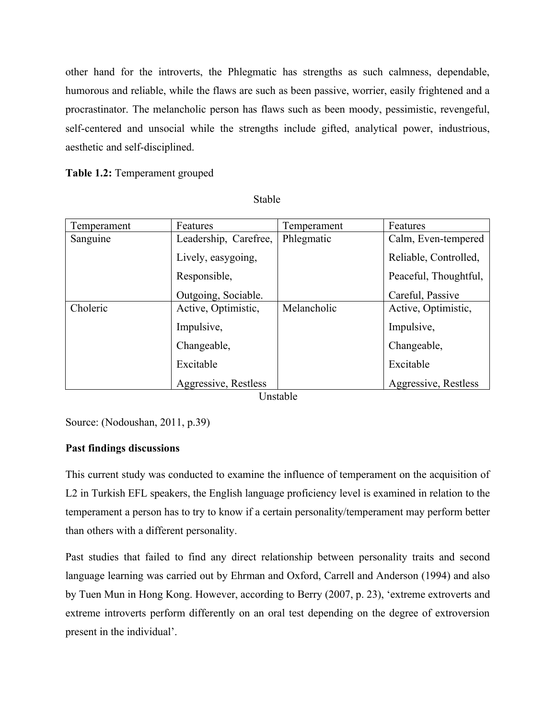other hand for the introverts, the Phlegmatic has strengths as such calmness, dependable, humorous and reliable, while the flaws are such as been passive, worrier, easily frightened and a procrastinator. The melancholic person has flaws such as been moody, pessimistic, revengeful, self-centered and unsocial while the strengths include gifted, analytical power, industrious, aesthetic and self-disciplined.

**Table 1.2:** Temperament grouped

**Stable** 

| Temperament | Features              | Temperament | Features              |
|-------------|-----------------------|-------------|-----------------------|
| Sanguine    | Leadership, Carefree, | Phlegmatic  | Calm, Even-tempered   |
|             | Lively, easygoing,    |             | Reliable, Controlled, |
|             | Responsible,          |             | Peaceful, Thoughtful, |
|             | Outgoing, Sociable.   |             | Careful, Passive      |
| Choleric    | Active, Optimistic,   | Melancholic | Active, Optimistic,   |
|             | Impulsive,            |             | Impulsive,            |
|             | Changeable,           |             | Changeable,           |
|             | Excitable             |             | Excitable             |
|             | Aggressive, Restless  |             | Aggressive, Restless  |

Unstable

Source: (Nodoushan, 2011, p.39)

# **Past findings discussions**

This current study was conducted to examine the influence of temperament on the acquisition of L2 in Turkish EFL speakers, the English language proficiency level is examined in relation to the temperament a person has to try to know if a certain personality/temperament may perform better than others with a different personality.

Past studies that failed to find any direct relationship between personality traits and second language learning was carried out by Ehrman and Oxford, Carrell and Anderson (1994) and also by Tuen Mun in Hong Kong. However, according to Berry (2007, p. 23), 'extreme extroverts and extreme introverts perform differently on an oral test depending on the degree of extroversion present in the individual'.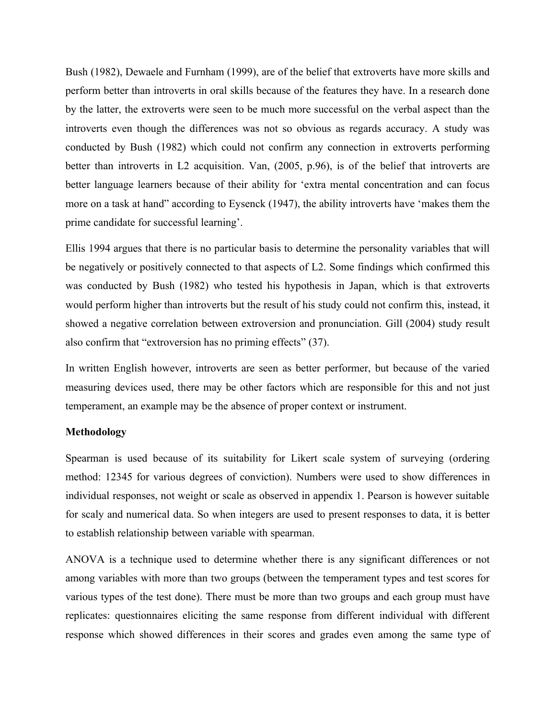Bush (1982), Dewaele and Furnham (1999), are of the belief that extroverts have more skills and perform better than introverts in oral skills because of the features they have. In a research done by the latter, the extroverts were seen to be much more successful on the verbal aspect than the introverts even though the differences was not so obvious as regards accuracy. A study was conducted by Bush (1982) which could not confirm any connection in extroverts performing better than introverts in L2 acquisition. Van, (2005, p.96), is of the belief that introverts are better language learners because of their ability for 'extra mental concentration and can focus more on a task at hand" according to Eysenck (1947), the ability introverts have 'makes them the prime candidate for successful learning'.

Ellis 1994 argues that there is no particular basis to determine the personality variables that will be negatively or positively connected to that aspects of L2. Some findings which confirmed this was conducted by Bush (1982) who tested his hypothesis in Japan, which is that extroverts would perform higher than introverts but the result of his study could not confirm this, instead, it showed a negative correlation between extroversion and pronunciation. Gill (2004) study result also confirm that "extroversion has no priming effects" (37).

In written English however, introverts are seen as better performer, but because of the varied measuring devices used, there may be other factors which are responsible for this and not just temperament, an example may be the absence of proper context or instrument.

### **Methodology**

Spearman is used because of its suitability for Likert scale system of surveying (ordering method: 12345 for various degrees of conviction). Numbers were used to show differences in individual responses, not weight or scale as observed in appendix 1. Pearson is however suitable for scaly and numerical data. So when integers are used to present responses to data, it is better to establish relationship between variable with spearman.

ANOVA is a technique used to determine whether there is any significant differences or not among variables with more than two groups (between the temperament types and test scores for various types of the test done). There must be more than two groups and each group must have replicates: questionnaires eliciting the same response from different individual with different response which showed differences in their scores and grades even among the same type of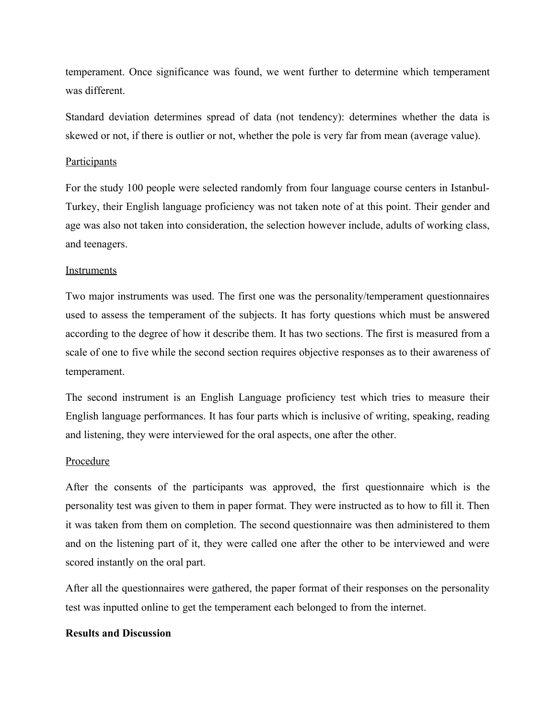temperament. Once significance was found, we went further to determine which temperament was different.

Standard deviation determines spread of data (not tendency): determines whether the data is skewed or not, if there is outlier or not, whether the pole is very far from mean (average value).

### **Participants**

For the study 100 people were selected randomly from four language course centers in Istanbul-Turkey, their English language proficiency was not taken note of at this point. Their gender and age was also not taken into consideration, the selection however include, adults of working class, and teenagers.

### Instruments

Two major instruments was used. The first one was the personality/temperament questionnaires used to assess the temperament of the subjects. It has forty questions which must be answered according to the degree of how it describe them. It has two sections. The first is measured from a scale of one to five while the second section requires objective responses as to their awareness of temperament.

The second instrument is an English Language proficiency test which tries to measure their English language performances. It has four parts which is inclusive of writing, speaking, reading and listening, they were interviewed for the oral aspects, one after the other.

#### Procedure

After the consents of the participants was approved, the first questionnaire which is the personality test was given to them in paper format. They were instructed as to how to fill it. Then it was taken from them on completion. The second questionnaire was then administered to them and on the listening part of it, they were called one after the other to be interviewed and were scored instantly on the oral part.

After all the questionnaires were gathered, the paper format of their responses on the personality test was inputted online to get the temperament each belonged to from the internet.

### **Results and Discussion**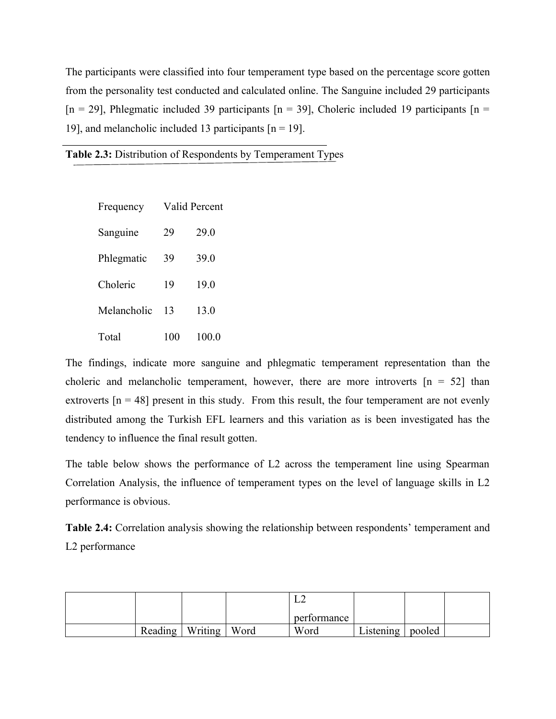The participants were classified into four temperament type based on the percentage score gotten from the personality test conducted and calculated online. The Sanguine included 29 participants [n = 29], Phlegmatic included 39 participants [n = 39], Choleric included 19 participants [n = 19], and melancholic included 13 participants  $[n = 19]$ .

| Frequency   | Valid Percent |       |  |  |  |
|-------------|---------------|-------|--|--|--|
| Sanguine    | 29            | 29.0  |  |  |  |
| Phlegmatic  | 39            | 39.0  |  |  |  |
| Choleric    | 19            | 19.0  |  |  |  |
| Melancholic | 13            | 13.0  |  |  |  |
| Total       | 100           | 100.0 |  |  |  |

The findings, indicate more sanguine and phlegmatic temperament representation than the choleric and melancholic temperament, however, there are more introverts  $[n = 52]$  than extroverts  $[n = 48]$  present in this study. From this result, the four temperament are not evenly distributed among the Turkish EFL learners and this variation as is been investigated has the tendency to influence the final result gotten.

The table below shows the performance of L2 across the temperament line using Spearman Correlation Analysis, the influence of temperament types on the level of language skills in L2 performance is obvious.

**Table 2.4:** Correlation analysis showing the relationship between respondents' temperament and L2 performance

|  |                   |      | ∸∸          |                    |  |
|--|-------------------|------|-------------|--------------------|--|
|  |                   |      | performance |                    |  |
|  | Reading   Writing | Word | Word        | Listening   pooled |  |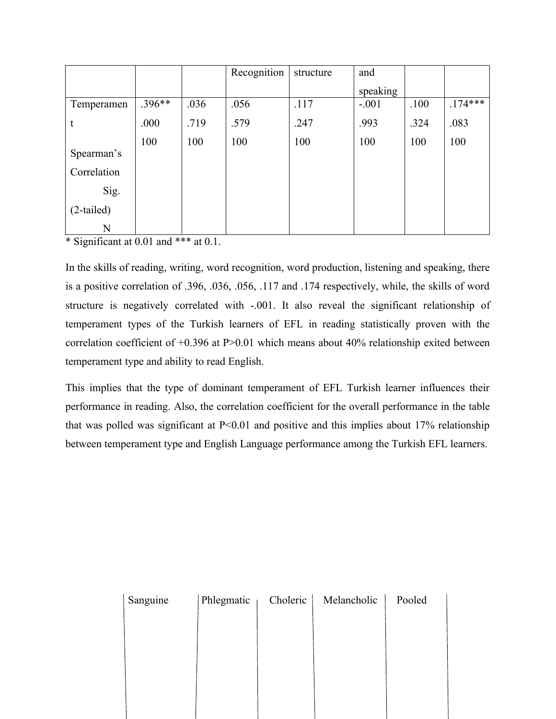|              |          |      | Recognition | structure | and      |      |           |
|--------------|----------|------|-------------|-----------|----------|------|-----------|
|              |          |      |             |           | speaking |      |           |
| Temperamen   | $.396**$ | .036 | .056        | .117      | $-.001$  | .100 | $.174***$ |
| t            | .000     | .719 | .579        | .247      | .993     | .324 | .083      |
|              | 100      | 100  | 100         | 100       | 100      | 100  | 100       |
| Spearman's   |          |      |             |           |          |      |           |
| Correlation  |          |      |             |           |          |      |           |
| Sig.         |          |      |             |           |          |      |           |
| $(2-tailed)$ |          |      |             |           |          |      |           |
| N            |          |      |             |           |          |      |           |

\* Significant at 0.01 and \*\*\* at 0.1.

In the skills of reading, writing, word recognition, word production, listening and speaking, there is a positive correlation of .396, .036, .056, .117 and .174 respectively, while, the skills of word structure is negatively correlated with -.001. It also reveal the significant relationship of temperament types of the Turkish learners of EFL in reading statistically proven with the correlation coefficient of +0.396 at P>0.01 which means about 40% relationship exited between temperament type and ability to read English.

This implies that the type of dominant temperament of EFL Turkish learner influences their performance in reading. Also, the correlation coefficient for the overall performance in the table that was polled was significant at  $P<0.01$  and positive and this implies about 17% relationship between temperament type and English Language performance among the Turkish EFL learners.

| Sanguine | Phlegmatic | Choleric | Melancholic | Pooled |
|----------|------------|----------|-------------|--------|
|          |            |          |             |        |
|          |            |          |             |        |
|          |            |          |             |        |
|          |            |          |             |        |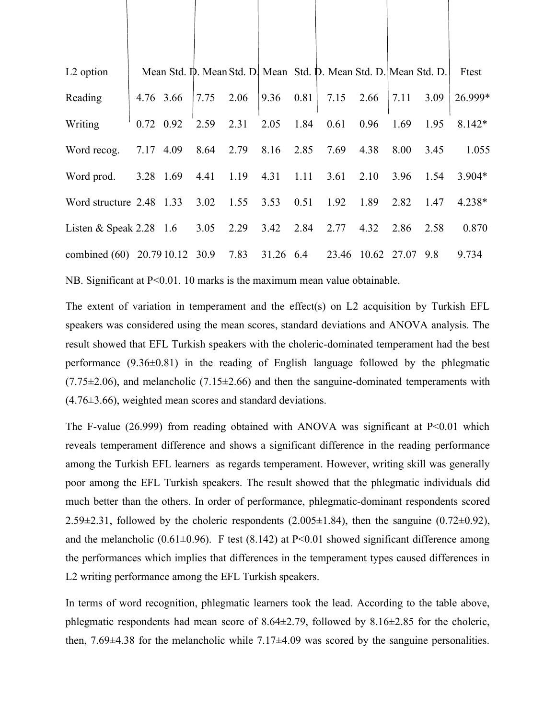| L <sub>2</sub> option          |           |      |      |           |      | Mean Std. D. Mean Std. D. Mean Std. D. Mean Std. D. Mean Std. D. |             |      |      | Ftest    |
|--------------------------------|-----------|------|------|-----------|------|------------------------------------------------------------------|-------------|------|------|----------|
| Reading                        | 4.76 3.66 | 7.75 | 2.06 | 9.36      | 0.81 | 7.15                                                             | 2.66        | 7.11 | 3.09 | 26.999*  |
| Writing                        | 0.72 0.92 | 2.59 | 2.31 | 2.05      | 1.84 | 0.61                                                             | 0.96        | 1.69 | 1.95 | $8.142*$ |
| Word recog.                    | 7.17 4.09 | 8.64 | 2.79 | 8.16      | 2.85 | 7.69                                                             | 4.38        | 8.00 | 3.45 | 1.055    |
| Word prod.                     | 3.28 1.69 | 4.41 | 1.19 | 4.31      | 1.11 | 3.61                                                             | 2.10        | 3.96 | 1.54 | $3.904*$ |
| Word structure 2.48 1.33       |           | 3.02 | 1.55 | 3.53      | 0.51 | 1.92                                                             | 1.89        | 2.82 | 1.47 | $4.238*$ |
| Listen & Speak $2.28$ 1.6      |           | 3.05 | 2.29 | 3.42      | 2.84 | 2.77                                                             | 4.32        | 2.86 | 2.58 | 0.870    |
| combined (60) 20.79 10.12 30.9 |           |      | 7.83 | 31.26 6.4 |      | 23.46                                                            | 10.62 27.07 |      | 9.8  | 9.734    |
|                                |           |      |      |           |      |                                                                  |             |      |      |          |

NB. Significant at P<0.01. 10 marks is the maximum mean value obtainable.

The extent of variation in temperament and the effect(s) on L2 acquisition by Turkish EFL speakers was considered using the mean scores, standard deviations and ANOVA analysis. The result showed that EFL Turkish speakers with the choleric-dominated temperament had the best performance (9.36±0.81) in the reading of English language followed by the phlegmatic  $(7.75\pm2.06)$ , and melancholic  $(7.15\pm2.66)$  and then the sanguine-dominated temperaments with (4.76±3.66), weighted mean scores and standard deviations.

The F-value  $(26.999)$  from reading obtained with ANOVA was significant at  $P<0.01$  which reveals temperament difference and shows a significant difference in the reading performance among the Turkish EFL learners as regards temperament. However, writing skill was generally poor among the EFL Turkish speakers. The result showed that the phlegmatic individuals did much better than the others. In order of performance, phlegmatic-dominant respondents scored 2.59 $\pm$ 2.31, followed by the choleric respondents (2.005 $\pm$ 1.84), then the sanguine (0.72 $\pm$ 0.92), and the melancholic (0.61 $\pm$ 0.96). F test (8.142) at P<0.01 showed significant difference among the performances which implies that differences in the temperament types caused differences in L2 writing performance among the EFL Turkish speakers.

In terms of word recognition, phlegmatic learners took the lead. According to the table above, phlegmatic respondents had mean score of 8.64±2.79, followed by 8.16±2.85 for the choleric, then, 7.69±4.38 for the melancholic while 7.17±4.09 was scored by the sanguine personalities.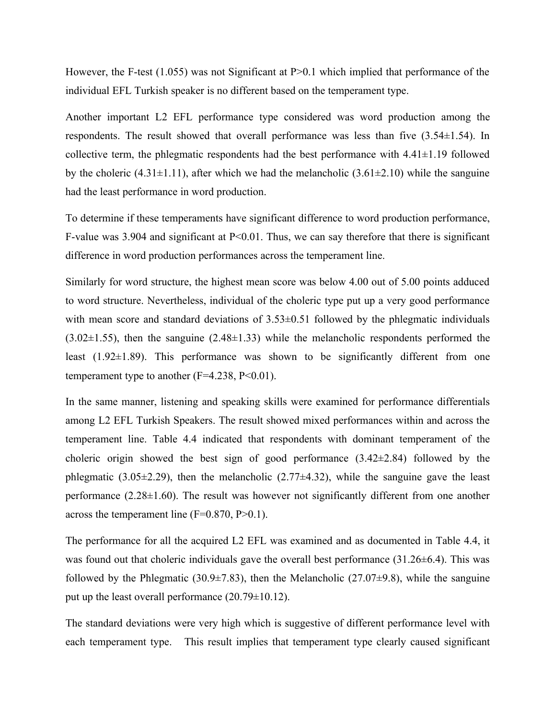However, the F-test (1.055) was not Significant at P $>0.1$  which implied that performance of the individual EFL Turkish speaker is no different based on the temperament type.

Another important L2 EFL performance type considered was word production among the respondents. The result showed that overall performance was less than five  $(3.54\pm1.54)$ . In collective term, the phlegmatic respondents had the best performance with  $4.41 \pm 1.19$  followed by the choleric (4.31 $\pm$ 1.11), after which we had the melancholic (3.61 $\pm$ 2.10) while the sanguine had the least performance in word production.

To determine if these temperaments have significant difference to word production performance, F-value was 3.904 and significant at P<0.01. Thus, we can say therefore that there is significant difference in word production performances across the temperament line.

Similarly for word structure, the highest mean score was below 4.00 out of 5.00 points adduced to word structure. Nevertheless, individual of the choleric type put up a very good performance with mean score and standard deviations of  $3.53\pm0.51$  followed by the phlegmatic individuals (3.02±1.55), then the sanguine (2.48±1.33) while the melancholic respondents performed the least  $(1.92\pm1.89)$ . This performance was shown to be significantly different from one temperament type to another  $(F=4.238, P<0.01)$ .

In the same manner, listening and speaking skills were examined for performance differentials among L2 EFL Turkish Speakers. The result showed mixed performances within and across the temperament line. Table 4.4 indicated that respondents with dominant temperament of the choleric origin showed the best sign of good performance  $(3.42\pm 2.84)$  followed by the phlegmatic  $(3.05\pm 2.29)$ , then the melancholic  $(2.77\pm 4.32)$ , while the sanguine gave the least performance  $(2.28\pm1.60)$ . The result was however not significantly different from one another across the temperament line (F=0.870, P>0.1).

The performance for all the acquired L2 EFL was examined and as documented in Table 4.4, it was found out that choleric individuals gave the overall best performance  $(31.26\pm6.4)$ . This was followed by the Phlegmatic (30.9 $\pm$ 7.83), then the Melancholic (27.07 $\pm$ 9.8), while the sanguine put up the least overall performance (20.79±10.12).

The standard deviations were very high which is suggestive of different performance level with each temperament type. This result implies that temperament type clearly caused significant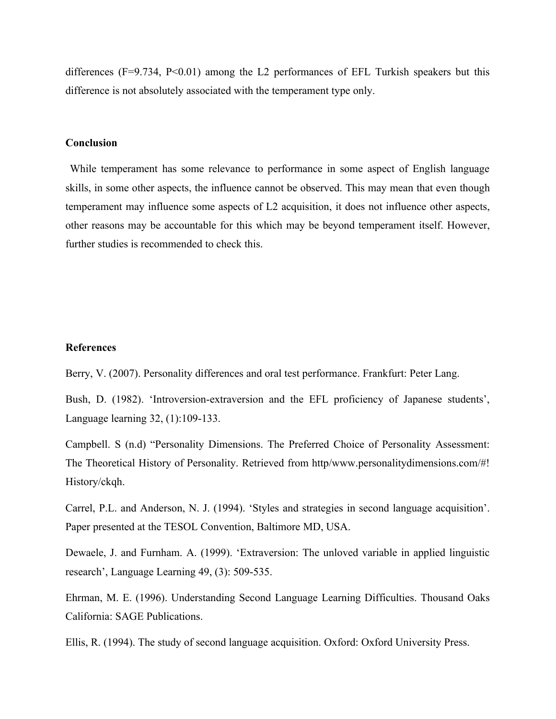differences ( $F=9.734$ ,  $P<0.01$ ) among the L2 performances of EFL Turkish speakers but this difference is not absolutely associated with the temperament type only.

#### **Conclusion**

 While temperament has some relevance to performance in some aspect of English language skills, in some other aspects, the influence cannot be observed. This may mean that even though temperament may influence some aspects of L2 acquisition, it does not influence other aspects, other reasons may be accountable for this which may be beyond temperament itself. However, further studies is recommended to check this.

### **References**

Berry, V. (2007). Personality differences and oral test performance. Frankfurt: Peter Lang.

Bush, D. (1982). 'Introversion-extraversion and the EFL proficiency of Japanese students', Language learning 32, (1):109-133.

Campbell. S (n.d) "Personality Dimensions. The Preferred Choice of Personality Assessment: The Theoretical History of Personality. Retrieved from http/www.personalitydimensions.com/#! History/ckqh.

Carrel, P.L. and Anderson, N. J. (1994). 'Styles and strategies in second language acquisition'. Paper presented at the TESOL Convention, Baltimore MD, USA.

Dewaele, J. and Furnham. A. (1999). 'Extraversion: The unloved variable in applied linguistic research', Language Learning 49, (3): 509-535.

Ehrman, M. E. (1996). Understanding Second Language Learning Difficulties. Thousand Oaks California: SAGE Publications.

Ellis, R. (1994). The study of second language acquisition. Oxford: Oxford University Press.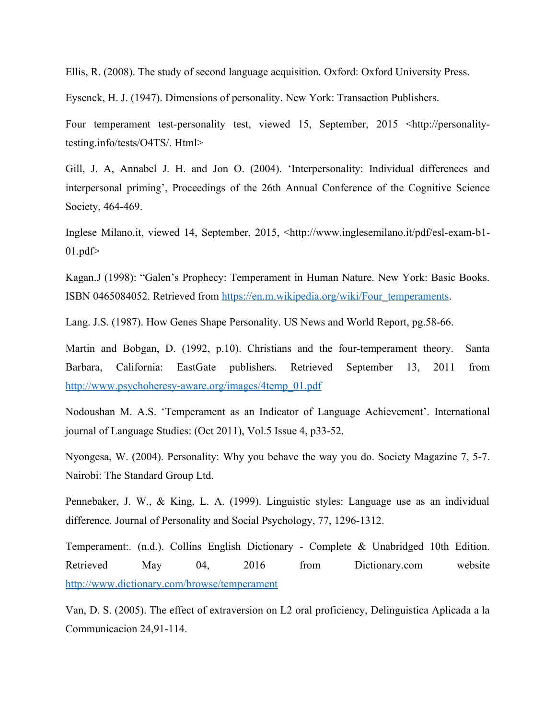Ellis, R. (2008). The study of second language acquisition. Oxford: Oxford University Press.

Eysenck, H. J. (1947). Dimensions of personality. New York: Transaction Publishers.

Four temperament test-personality test, viewed 15, September, 2015 <http://personalitytesting.info/tests/O4TS/. Html>

Gill, J. A, Annabel J. H. and Jon O. (2004). 'Interpersonality: Individual differences and interpersonal priming', Proceedings of the 26th Annual Conference of the Cognitive Science Society, 464-469.

Inglese Milano.it, viewed 14, September, 2015, <http://www.inglesemilano.it/pdf/esl-exam-b1-  $01.pdf$ 

Kagan.J (1998): "Galen's Prophecy: Temperament in Human Nature. New York: Basic Books. ISBN 0465084052. Retrieved from [https://en.m.wikipedia.org/wiki/Four\\_temperaments.](https://en.m.wikipedia.org/wiki/Four_temperaments)

Lang. J.S. (1987). How Genes Shape Personality. US News and World Report, pg.58-66.

Martin and Bobgan, D. (1992, p.10). Christians and the four-temperament theory. Santa Barbara, California: EastGate publishers. Retrieved September 13, 2011 from [http://www.psychoheresy-aware.org/images/4temp\\_01.pdf](http://www.psychoheresy-aware.org/images/4temp_01.pdf)

Nodoushan M. A.S. 'Temperament as an Indicator of Language Achievement'. International journal of Language Studies: (Oct 2011), Vol.5 Issue 4, p33-52.

Nyongesa, W. (2004). Personality: Why you behave the way you do. Society Magazine 7, 5-7. Nairobi: The Standard Group Ltd.

Pennebaker, J. W., & King, L. A. (1999). Linguistic styles: Language use as an individual difference. Journal of Personality and Social Psychology, 77, 1296-1312.

Temperament:. (n.d.). Collins English Dictionary - Complete & Unabridged 10th Edition. Retrieved May 04, 2016 from Dictionary.com website <http://www.dictionary.com/browse/temperament>

Van, D. S. (2005). The effect of extraversion on L2 oral proficiency, Delinguistica Aplicada a la Communicacion 24,91-114.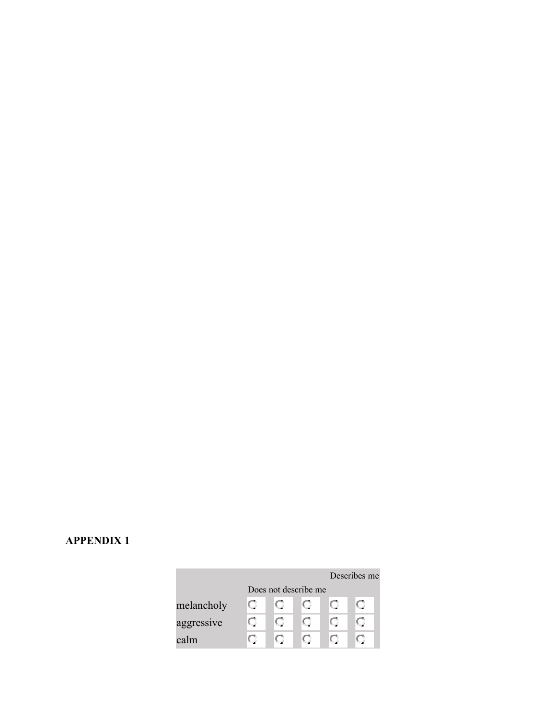# **APPENDIX 1**

|            |                      |      |  | Describes me |  |  |  |  |  |
|------------|----------------------|------|--|--------------|--|--|--|--|--|
|            | Does not describe me |      |  |              |  |  |  |  |  |
| melancholy |                      | t. J |  |              |  |  |  |  |  |
| aggressive |                      | U    |  |              |  |  |  |  |  |
| calm       |                      |      |  |              |  |  |  |  |  |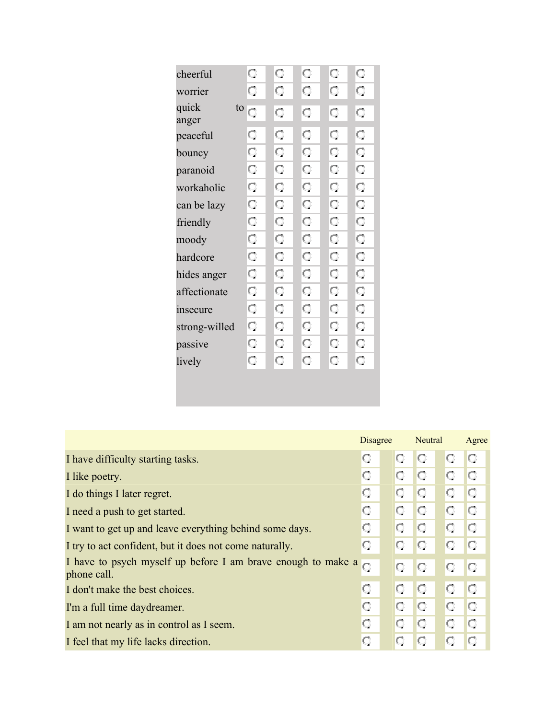| cheerful             | Q  | Q  | O  | Q  | Q  |
|----------------------|----|----|----|----|----|
| worrier              | Q  | Q  | Q  | Q  | Q  |
| quick<br>to<br>anger | Ō  | Q  | O  | O  | Q  |
| peaceful             | O  | O  | Q  | O  | Q  |
| bouncy               | Q  | O  | O  | Q  | O. |
| paranoid             | Q  | Q  | Q  | O. | Q  |
| workaholic           | Q  | O  | Q  | Q  | Q  |
| can be lazy          | O  | Q  | Q  | Q  | O  |
| friendly             | Q  | O. | O. | Q. | Q  |
| moody                | Q  | Q  | Q  | Q  | Q  |
| hardcore             | Q  | Q  | O  | O. | O. |
| hides anger          | O  | O  | Q  | O  | O  |
| affectionate         | Q  | O  | Q  | O  | Q  |
| insecure             | O  | Q  | O  | O  | Q  |
| strong-willed        | Q  | O  | Q  | O  | O  |
| passive              | O. | Q  | O  | O. | O. |
| lively               | Q  | Q  | Q  | Q  | Q  |
|                      |    |    |    |    |    |
|                      |    |    |    |    |    |

|                                                                             | <b>Disagree</b> |   | Neutral |         | Agree |
|-----------------------------------------------------------------------------|-----------------|---|---------|---------|-------|
| I have difficulty starting tasks.                                           | О               | О | O       | O       | O     |
| I like poetry.                                                              | О               | О | O       | O       | O     |
| I do things I later regret.                                                 | O               | О | O       | O       | O     |
| I need a push to get started.                                               | O               | О | O       | O       | O     |
| I want to get up and leave everything behind some days.                     | O               | O | O       | O       | O     |
| I try to act confident, but it does not come naturally.                     | O               | Q | O       | O       | O     |
| I have to psych myself up before I am brave enough to make a<br>phone call. | $\circ$         | Q | O       | O       | O     |
| I don't make the best choices.                                              | O               | O | O       | $\circ$ | IO    |
| I'm a full time daydreamer.                                                 | O               | O | O       | O.      | O     |
| I am not nearly as in control as I seem.                                    | O               | O | O       | O       | O     |
| I feel that my life lacks direction.                                        |                 |   | O       | O       | О     |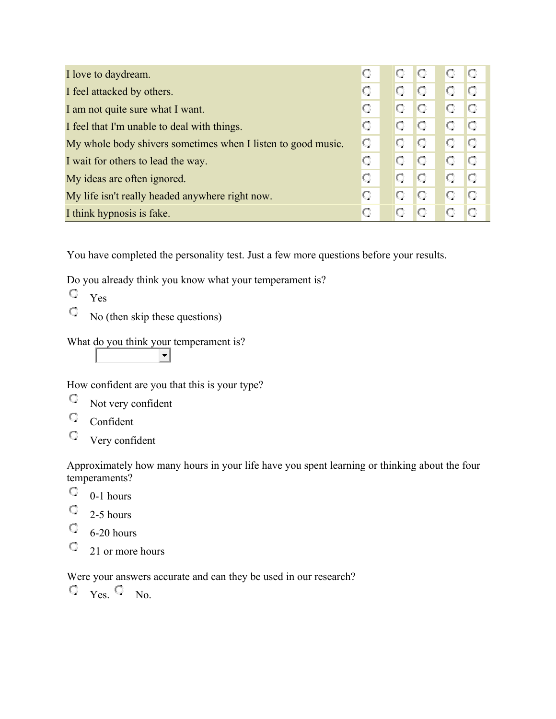| I love to day dream.                                         | о  | U  | IO | O. | IO |
|--------------------------------------------------------------|----|----|----|----|----|
| I feel attacked by others.                                   | O  |    | IO | O  | O  |
| I am not quite sure what I want.                             | О  | O  | IO | O. | O  |
| I feel that I'm unable to deal with things.                  | O  | O  | O  | O  | IO |
| My whole body shivers sometimes when I listen to good music. | О. | O. | IO | O. | IO |
| I wait for others to lead the way.                           | О  | O  | IO | O  | O  |
| My ideas are often ignored.                                  | O  | О  | IO | O  | O  |
| My life isn't really headed anywhere right now.              | О  | О  | O  | O  | O  |
| I think hypnosis is fake.                                    | о  |    |    |    | lO |

You have completed the personality test. Just a few more questions before your results.

Do you already think you know what your temperament is?

- Yes
- $\mathbf C$ No (then skip these questions)

What do you think your temperament is?

 $\left| \cdot \right|$ 

How confident are you that this is your type?

- Q. Not very confident
- $\hbox{C}$ Confident
- $\mathbf C$ Very confident

Approximately how many hours in your life have you spent learning or thinking about the four temperaments?

- О. 0-1 hours
- Q. 2-5 hours
- O., 6-20 hours
- O., 21 or more hours

Were your answers accurate and can they be used in our research?

 $\circ$   $_{\text{Yes.}}$   $\circ$   $_{\text{No.}}$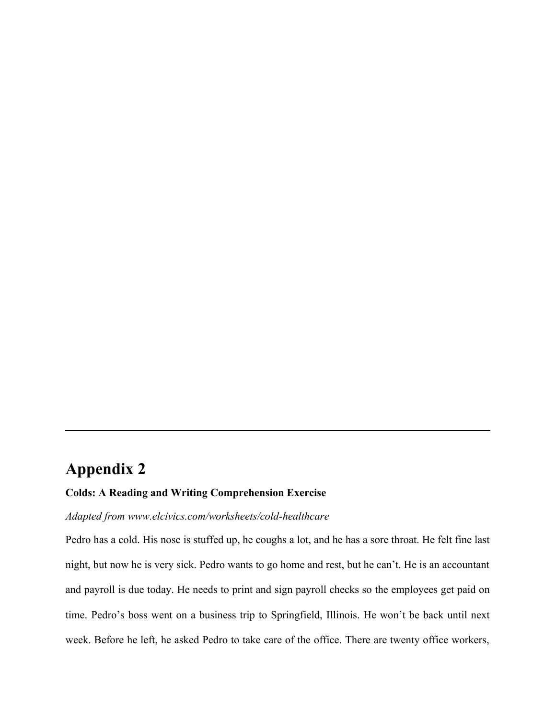# **Appendix 2**

# **Colds: A Reading and Writing Comprehension Exercise**

# *Adapted from www.elcivics.com/worksheets/cold-healthcare*

Pedro has a cold. His nose is stuffed up, he coughs a lot, and he has a sore throat. He felt fine last night, but now he is very sick. Pedro wants to go home and rest, but he can't. He is an accountant and payroll is due today. He needs to print and sign payroll checks so the employees get paid on time. Pedro's boss went on a business trip to Springfield, Illinois. He won't be back until next week. Before he left, he asked Pedro to take care of the office. There are twenty office workers,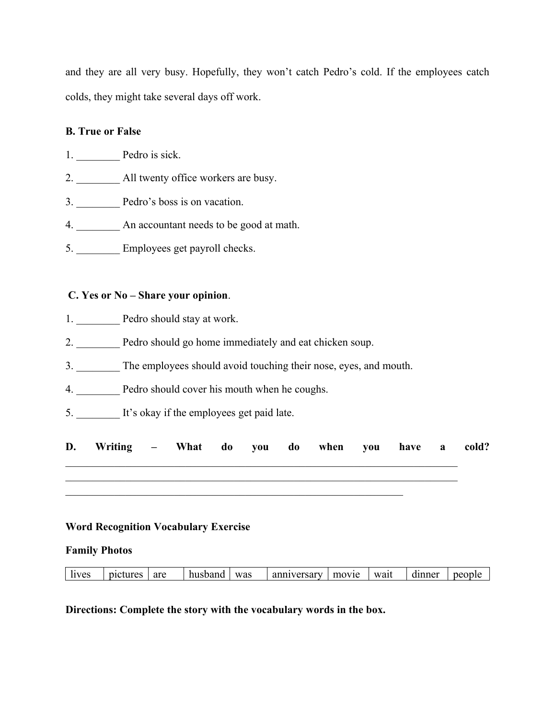and they are all very busy. Hopefully, they won't catch Pedro's cold. If the employees catch colds, they might take several days off work.

# **B. True or False**

1. Pedro is sick.

- 2. All twenty office workers are busy.
- 3. **Dedro's boss is on vacation.**
- 4. \_\_\_\_\_\_\_\_ An accountant needs to be good at math.
- 5. Employees get payroll checks.

# **C. Yes or No – Share your opinion**.

- 1. \_\_\_\_\_\_\_\_\_\_ Pedro should stay at work.
- 2. \_\_\_\_\_\_\_\_ Pedro should go home immediately and eat chicken soup.
- 3. \_\_\_\_\_\_\_\_ The employees should avoid touching their nose, eyes, and mouth.
- 4. Pedro should cover his mouth when he coughs.
- 5. It's okay if the employees get paid late.

| D. Writing – What do you do when you have a cold? |  |  |  |  |  |
|---------------------------------------------------|--|--|--|--|--|
|                                                   |  |  |  |  |  |
|                                                   |  |  |  |  |  |

# **Word Recognition Vocabulary Exercise**

### **Family Photos**

| lives | pictures | are | husband | was | anniversary | movie | wait | dinner | people |
|-------|----------|-----|---------|-----|-------------|-------|------|--------|--------|
|       |          |     |         |     |             |       |      |        |        |

**Directions: Complete the story with the vocabulary words in the box.**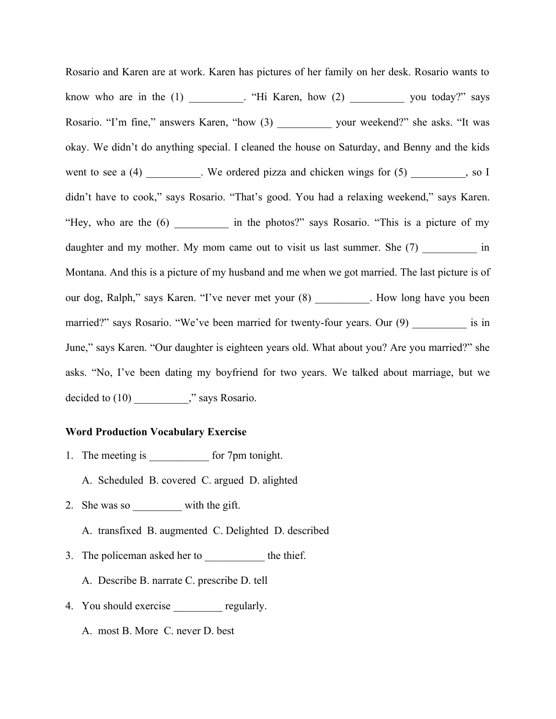Rosario and Karen are at work. Karen has pictures of her family on her desk. Rosario wants to know who are in the  $(1)$  \_\_\_\_\_\_\_. "Hi Karen, how  $(2)$  \_\_\_\_\_\_\_\_\_\_\_ you today?" says Rosario. "I'm fine," answers Karen, "how (3) \_\_\_\_\_\_\_\_\_\_ your weekend?" she asks. "It was okay. We didn't do anything special. I cleaned the house on Saturday, and Benny and the kids went to see a  $(4)$  \_\_\_\_\_\_\_\_. We ordered pizza and chicken wings for  $(5)$  \_\_\_\_\_\_\_, so I didn't have to cook," says Rosario. "That's good. You had a relaxing weekend," says Karen. "Hey, who are the (6) \_\_\_\_\_\_\_\_\_\_ in the photos?" says Rosario. "This is a picture of my daughter and my mother. My mom came out to visit us last summer. She (7) \_\_\_\_\_\_\_\_\_\_\_ in Montana. And this is a picture of my husband and me when we got married. The last picture is of our dog, Ralph," says Karen. "I've never met your (8) \_\_\_\_\_\_\_\_\_\_. How long have you been married?" says Rosario. "We've been married for twenty-four years. Our (9) \_\_\_\_\_\_\_\_\_\_\_ is in June," says Karen. "Our daughter is eighteen years old. What about you? Are you married?" she asks. "No, I've been dating my boyfriend for two years. We talked about marriage, but we decided to  $(10)$  \_\_\_\_\_\_\_\_," says Rosario.

### **Word Production Vocabulary Exercise**

- 1. The meeting is \_\_\_\_\_\_\_\_\_\_\_ for 7pm tonight.
	- A. Scheduled B. covered C. argued D. alighted
- 2. She was so with the gift.
	- A. transfixed B. augmented C. Delighted D. described
- 3. The policeman asked her to \_\_\_\_\_\_\_\_\_\_\_\_ the thief.
	- A. Describe B. narrate C. prescribe D. tell
- 4. You should exercise \_\_\_\_\_\_\_\_\_ regularly.
	- A. most B. More C. never D. best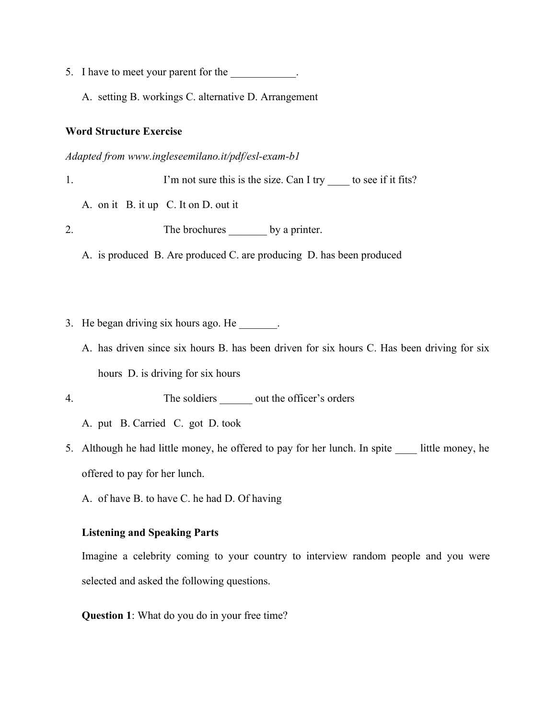- 5. I have to meet your parent for the \_\_\_\_\_\_\_\_\_\_\_\_.
	- A. setting B. workings C. alternative D. Arrangement

### **Word Structure Exercise**

*Adapted from www.ingleseemilano.it/pdf/esl-exam-b1*

1. I'm not sure this is the size. Can I try \_\_\_\_\_ to see if it fits?

A. on it B. it up C. It on D. out it

2. The brochures by a printer.

A. is produced B. Are produced C. are producing D. has been produced

- 3. He began driving six hours ago. He \_\_\_\_\_\_\_.
	- A. has driven since six hours B. has been driven for six hours C. Has been driving for six hours D. is driving for six hours

4. The soldiers out the officer's orders

A. put B. Carried C. got D. took

5. Although he had little money, he offered to pay for her lunch. In spite \_\_\_\_ little money, he offered to pay for her lunch.

A. of have B. to have C. he had D. Of having

# **Listening and Speaking Parts**

Imagine a celebrity coming to your country to interview random people and you were selected and asked the following questions.

**Question 1**: What do you do in your free time?